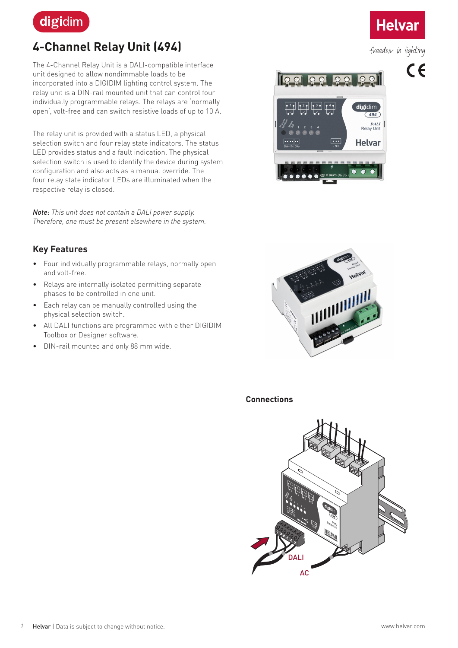

# **4-Channel Relay Unit (494)**

The 4-Channel Relay Unit is a DALI-compatible interface unit designed to allow nondimmable loads to be incorporated into a DIGIDIM lighting control system. The relay unit is a DIN-rail mounted unit that can control four individually programmable relays. The relays are 'normally open', volt-free and can switch resistive loads of up to 10 A.

The relay unit is provided with a status LED, a physical selection switch and four relay state indicators. The status LED provides status and a fault indication. The physical selection switch is used to identify the device during system configuration and also acts as a manual override. The four relay state indicator LEDs are illuminated when the respective relay is closed.

*Note: This unit does not contain a DALI power supply. Therefore, one must be present elsewhere in the system.*

### **Key Features**

- Four individually programmable relays, normally open and volt-free.
- Relays are internally isolated permitting separate phases to be controlled in one unit.
- Each relay can be manually controlled using the physical selection switch.
- All DALI functions are programmed with either DIGIDIM Toolbox or Designer software.
- DIN-rail mounted and only 88 mm wide.





#### **Connections**



# **Helvar**

freedom in lighting

 $C<sub>f</sub>$